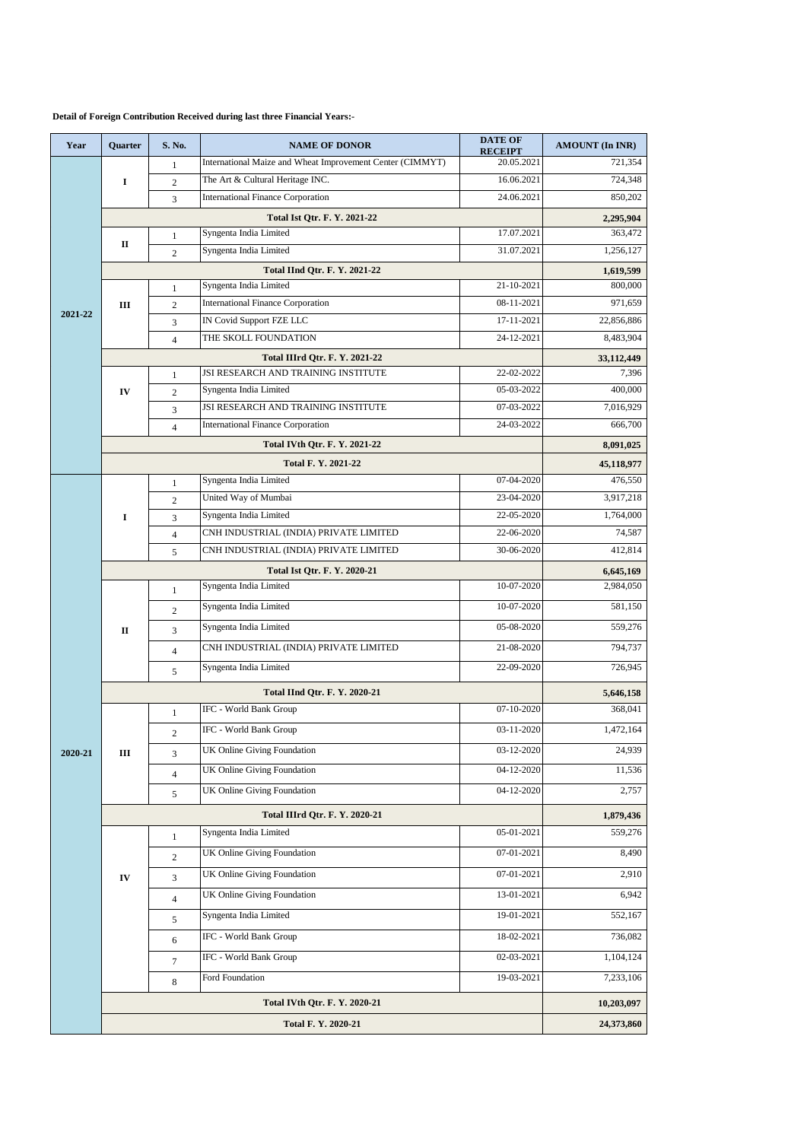## **Detail of Foreign Contribution Received during last three Financial Years:-**

| Year    | Quarter             | S. No.                   | <b>NAME OF DONOR</b>                                                             | <b>DATE OF</b>               | <b>AMOUNT (In INR)</b> |
|---------|---------------------|--------------------------|----------------------------------------------------------------------------------|------------------------------|------------------------|
| 2021-22 | I                   | 1                        | International Maize and Wheat Improvement Center (CIMMYT)                        | <b>RECEIPT</b><br>20.05.2021 | 721,354                |
|         |                     | $\overline{c}$           | The Art & Cultural Heritage INC.                                                 | 16.06.2021                   | 724,348                |
|         |                     | 3                        | <b>International Finance Corporation</b>                                         | 24.06.2021                   | 850,202                |
|         |                     | 2,295,904                |                                                                                  |                              |                        |
|         |                     | $\mathbf{1}$             | Syngenta India Limited                                                           | 17.07.2021                   | 363,472                |
|         | п                   | $\overline{2}$           | Syngenta India Limited                                                           | 31.07.2021                   | 1,256,127              |
|         |                     | 1,619,599                |                                                                                  |                              |                        |
|         | Ш                   | $\mathbf{1}$             | Syngenta India Limited                                                           | 21-10-2021                   | 800,000                |
|         |                     | $\overline{c}$           | <b>International Finance Corporation</b>                                         | 08-11-2021                   | 971,659                |
|         |                     | 3                        | IN Covid Support FZE LLC                                                         | 17-11-2021                   | 22,856,886             |
|         |                     | $\overline{4}$           | THE SKOLL FOUNDATION                                                             | 24-12-2021                   | 8,483,904              |
|         |                     |                          | <b>Total IIIrd Qtr. F. Y. 2021-22</b>                                            |                              | 33,112,449             |
|         | IV                  | $\mathbf{1}$             | JSI RESEARCH AND TRAINING INSTITUTE                                              | 22-02-2022                   | 7,396                  |
|         |                     | $\overline{c}$           | Syngenta India Limited                                                           | 05-03-2022                   | 400,000<br>7,016,929   |
|         |                     | 3                        | <b>JSI RESEARCH AND TRAINING INSTITUTE</b>                                       | 07-03-2022<br>24-03-2022     | 666,700                |
|         |                     | $\overline{4}$           | <b>International Finance Corporation</b><br><b>Total IVth Qtr. F. Y. 2021-22</b> |                              |                        |
|         |                     | 8,091,025                |                                                                                  |                              |                        |
|         |                     |                          | <b>Total F. Y. 2021-22</b>                                                       |                              | 45,118,977             |
|         |                     | $\mathbf{1}$             | Syngenta India Limited<br>United Way of Mumbai                                   | 07-04-2020                   | 476,550                |
|         |                     | $\overline{c}$           | Syngenta India Limited                                                           | 23-04-2020<br>22-05-2020     | 3,917,218<br>1,764,000 |
|         | I                   | 3                        | CNH INDUSTRIAL (INDIA) PRIVATE LIMITED                                           | 22-06-2020                   | 74,587                 |
|         |                     | $\overline{4}$<br>5      | CNH INDUSTRIAL (INDIA) PRIVATE LIMITED                                           | 30-06-2020                   | 412,814                |
|         |                     |                          |                                                                                  |                              |                        |
|         |                     |                          | <b>Total Ist Qtr. F. Y. 2020-21</b><br>Syngenta India Limited                    | 10-07-2020                   | 6,645,169<br>2,984,050 |
|         | $\mathbf{I}$        | $\mathbf{1}$             | Syngenta India Limited                                                           | 10-07-2020                   | 581,150                |
|         |                     | $\overline{c}$           | Syngenta India Limited                                                           | 05-08-2020                   | 559,276                |
|         |                     | 3                        |                                                                                  |                              |                        |
|         |                     | $\overline{4}$           | CNH INDUSTRIAL (INDIA) PRIVATE LIMITED                                           | 21-08-2020                   | 794,737                |
|         |                     | 5                        | Syngenta India Limited                                                           | 22-09-2020                   | 726,945                |
|         |                     |                          | <b>Total IInd Otr. F. Y. 2020-21</b>                                             |                              | 5,646,158              |
| 2020-21 | Ш                   | $\mathbf{1}$             | IFC - World Bank Group                                                           | 07-10-2020                   | 368,041                |
|         |                     | $\overline{c}$           | IFC - World Bank Group                                                           | 03-11-2020                   | 1,472,164              |
|         |                     | 3                        | UK Online Giving Foundation                                                      | 03-12-2020                   | 24,939                 |
|         |                     | $\overline{4}$           | <b>UK Online Giving Foundation</b>                                               | 04-12-2020                   | 11,536                 |
|         |                     | 5                        | UK Online Giving Foundation                                                      | 04-12-2020                   | 2,757                  |
|         |                     |                          | <b>Total IIIrd Qtr. F. Y. 2020-21</b>                                            |                              |                        |
|         |                     | 1,879,436<br>559,276     |                                                                                  |                              |                        |
|         | IV                  | $\mathbf{1}$             | Syngenta India Limited<br><b>UK Online Giving Foundation</b>                     | 05-01-2021<br>07-01-2021     | 8,490                  |
|         |                     | 2                        |                                                                                  |                              |                        |
|         |                     | 3                        | UK Online Giving Foundation                                                      | 07-01-2021                   | 2,910                  |
|         |                     | $\overline{4}$           | UK Online Giving Foundation                                                      | 13-01-2021                   | 6,942                  |
|         |                     | 5                        | Syngenta India Limited                                                           | 19-01-2021                   | 552,167                |
|         |                     | 6                        | IFC - World Bank Group                                                           | 18-02-2021                   | 736,082                |
|         |                     | 7                        | IFC - World Bank Group                                                           | 02-03-2021                   | 1,104,124              |
|         |                     | 8                        | Ford Foundation                                                                  | 19-03-2021                   | 7,233,106              |
|         |                     |                          |                                                                                  |                              |                        |
|         |                     | 10,203,097<br>24,373,860 |                                                                                  |                              |                        |
|         | Total F. Y. 2020-21 |                          |                                                                                  |                              |                        |